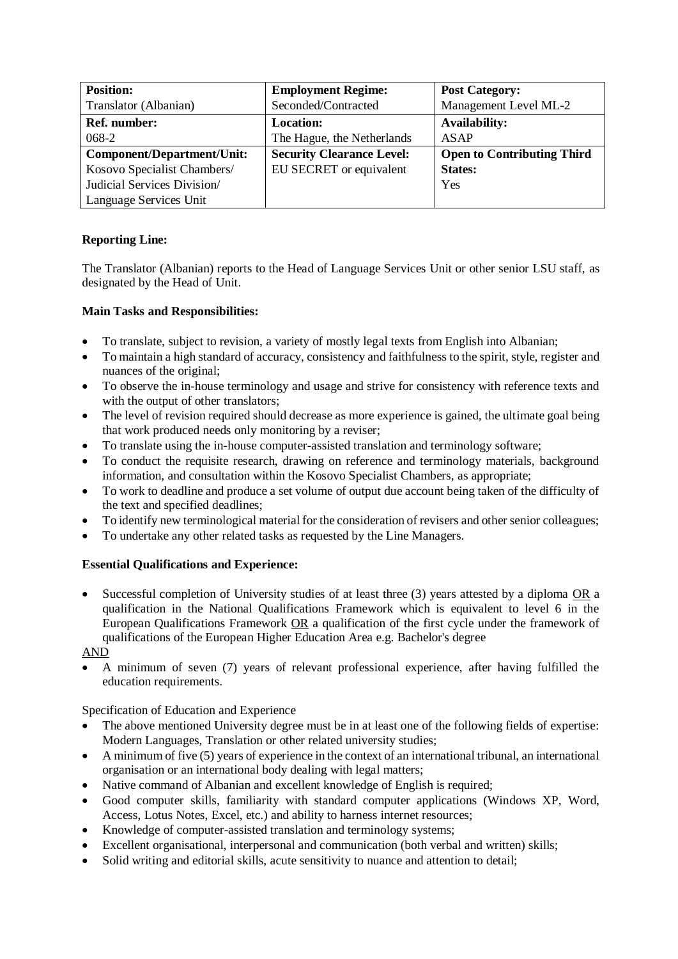| <b>Position:</b>                  | <b>Employment Regime:</b>        | <b>Post Category:</b>             |
|-----------------------------------|----------------------------------|-----------------------------------|
| Translator (Albanian)             | Seconded/Contracted              | Management Level ML-2             |
| Ref. number:                      | <b>Location:</b>                 | <b>Availability:</b>              |
| 068-2                             | The Hague, the Netherlands       | <b>ASAP</b>                       |
| <b>Component/Department/Unit:</b> | <b>Security Clearance Level:</b> | <b>Open to Contributing Third</b> |
| Kosovo Specialist Chambers/       | EU SECRET or equivalent          | <b>States:</b>                    |
| Judicial Services Division/       |                                  | Yes                               |
| Language Services Unit            |                                  |                                   |

# **Reporting Line:**

The Translator (Albanian) reports to the Head of Language Services Unit or other senior LSU staff, as designated by the Head of Unit.

## **Main Tasks and Responsibilities:**

- To translate, subject to revision, a variety of mostly legal texts from English into Albanian;
- To maintain a high standard of accuracy, consistency and faithfulness to the spirit, style, register and nuances of the original;
- To observe the in-house terminology and usage and strive for consistency with reference texts and with the output of other translators;
- The level of revision required should decrease as more experience is gained, the ultimate goal being that work produced needs only monitoring by a reviser;
- To translate using the in-house computer-assisted translation and terminology software;
- To conduct the requisite research, drawing on reference and terminology materials, background information, and consultation within the Kosovo Specialist Chambers, as appropriate;
- To work to deadline and produce a set volume of output due account being taken of the difficulty of the text and specified deadlines;
- To identify new terminological material for the consideration of revisers and other senior colleagues;
- To undertake any other related tasks as requested by the Line Managers.

# **Essential Qualifications and Experience:**

• Successful completion of University studies of at least three (3) years attested by a diploma OR a qualification in the National Qualifications Framework which is equivalent to level 6 in the European Qualifications Framework OR a qualification of the first cycle under the framework of qualifications of the European Higher Education Area e.g. Bachelor's degree

## AND

• A minimum of seven (7) years of relevant professional experience, after having fulfilled the education requirements.

Specification of Education and Experience

- The above mentioned University degree must be in at least one of the following fields of expertise: Modern Languages, Translation or other related university studies;
- A minimum of five (5) years of experience in the context of an international tribunal, an international organisation or an international body dealing with legal matters;
- Native command of Albanian and excellent knowledge of English is required;
- Good computer skills, familiarity with standard computer applications (Windows XP, Word, Access, Lotus Notes, Excel, etc.) and ability to harness internet resources;
- Knowledge of computer-assisted translation and terminology systems;
- Excellent organisational, interpersonal and communication (both verbal and written) skills;
- Solid writing and editorial skills, acute sensitivity to nuance and attention to detail;